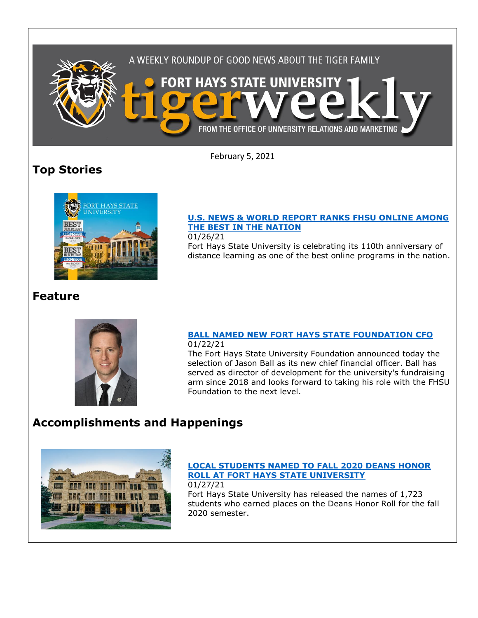

February 5, 2021

# **Top Stories**



## **[U.S. NEWS & WORLD REPORT RANKS FHSU ONLINE AMONG](https://www.fhsu.edu/news/2021/01/u.s.-news-world-report-ranks-fhsu-online-among-the-best-in-the-nation)  [THE BEST IN THE NATION](https://www.fhsu.edu/news/2021/01/u.s.-news-world-report-ranks-fhsu-online-among-the-best-in-the-nation)**

01/26/21

Fort Hays State University is celebrating its 110th anniversary of distance learning as one of the best online programs in the nation.

# **Feature**



### **[BALL NAMED NEW FORT HAYS STATE FOUNDATION CFO](https://www.fhsu.edu/news/2021/01/ball-named-new-fort-hays-state-foundation-cfo)** 01/22/21

The Fort Hays State University Foundation announced today the selection of Jason Ball as its new chief financial officer. Ball has served as director of development for the university's fundraising arm since 2018 and looks forward to taking his role with the FHSU Foundation to the next level.

# **Accomplishments and Happenings**



#### **[LOCAL STUDENTS NAMED TO FALL 2020 DEANS HONOR](https://www.fhsu.edu/news/2021/01/local-students-named-to-fall-2020-deans-honor-roll-at-fort-hays-state-university)  [ROLL AT FORT HAYS STATE UNIVERSITY](https://www.fhsu.edu/news/2021/01/local-students-named-to-fall-2020-deans-honor-roll-at-fort-hays-state-university)** 01/27/21

Fort Hays State University has released the names of 1,723 students who earned places on the Deans Honor Roll for the fall 2020 semester.